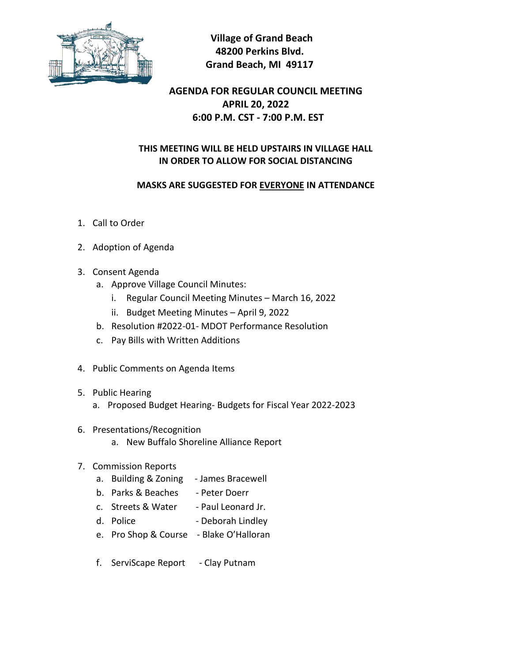

 **Village of Grand Beach 48200 Perkins Blvd. Grand Beach, MI 49117**

## **AGENDA FOR REGULAR COUNCIL MEETING APRIL 20, 2022 6:00 P.M. CST - 7:00 P.M. EST**

## **THIS MEETING WILL BE HELD UPSTAIRS IN VILLAGE HALL IN ORDER TO ALLOW FOR SOCIAL DISTANCING**

## **MASKS ARE SUGGESTED FOR EVERYONE IN ATTENDANCE**

- 1. Call to Order
- 2. Adoption of Agenda
- 3. Consent Agenda
	- a. Approve Village Council Minutes:
		- i. Regular Council Meeting Minutes March 16, 2022
		- ii. Budget Meeting Minutes April 9, 2022
	- b. Resolution #2022-01- MDOT Performance Resolution
	- c. Pay Bills with Written Additions
- 4. Public Comments on Agenda Items
- 5. Public Hearing
	- a. Proposed Budget Hearing- Budgets for Fiscal Year 2022-2023
- 6. Presentations/Recognition
	- a. New Buffalo Shoreline Alliance Report
- 7. Commission Reports
	- a. Building & Zoning James Bracewell
	- b. Parks & Beaches Peter Doerr
	- c. Streets & Water Paul Leonard Jr.
	- d. Police Deborah Lindley
	- e. Pro Shop & Course Blake O'Halloran
	- f. ServiScape Report Clay Putnam